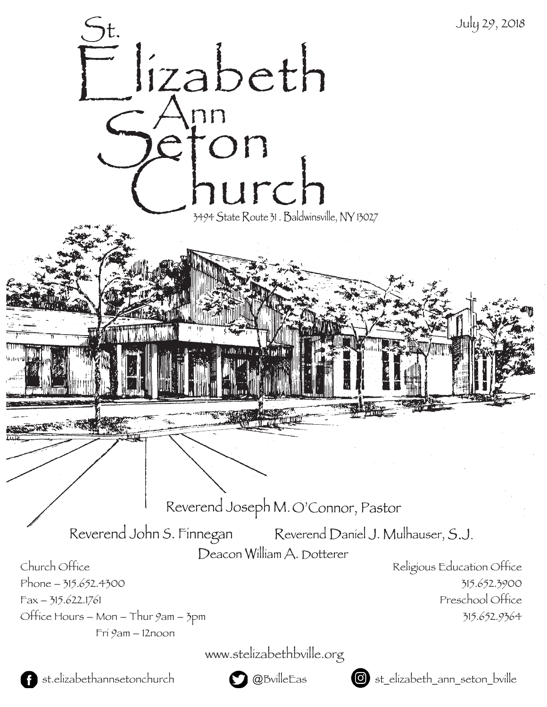

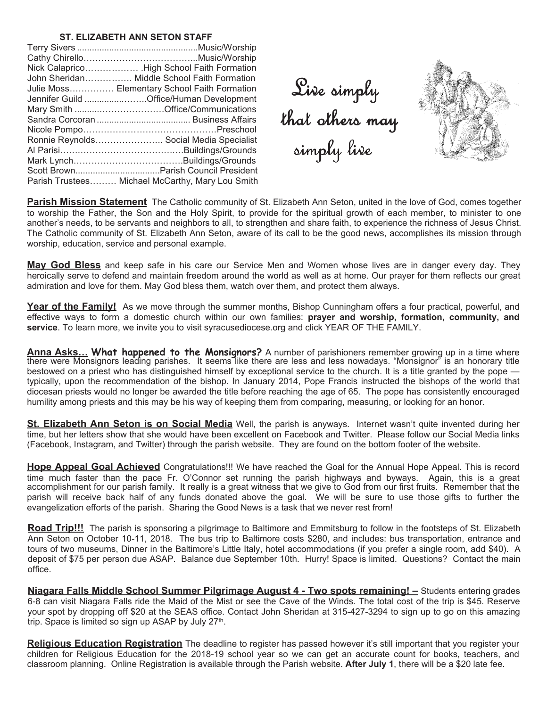#### **ST. ELIZABETH ANN SETON STAFF**

| Nick Calaprico High School Faith Formation       |
|--------------------------------------------------|
| John Sheridan Middle School Faith Formation      |
| Julie Moss Elementary School Faith Formation     |
| Jennifer Guild Office/Human Development          |
|                                                  |
|                                                  |
|                                                  |
| Ronnie Reynolds Social Media Specialist          |
|                                                  |
|                                                  |
|                                                  |
| Parish Trustees Michael McCarthy, Mary Lou Smith |

Live simply that others may simply live



**Parish Mission Statement** The Catholic community of St. Elizabeth Ann Seton, united in the love of God, comes together to worship the Father, the Son and the Holy Spirit, to provide for the spiritual growth of each member, to minister to one another's needs, to be servants and neighbors to all, to strengthen and share faith, to experience the richness of Jesus Christ. The Catholic community of St. Elizabeth Ann Seton, aware of its call to be the good news, accomplishes its mission through worship, education, service and personal example.

**May God Bless** and keep safe in his care our Service Men and Women whose lives are in danger every day. They heroically serve to defend and maintain freedom around the world as well as at home. Our prayer for them reflects our great admiration and love for them. May God bless them, watch over them, and protect them always.

**Year of the Family!** As we move through the summer months, Bishop Cunningham offers a four practical, powerful, and effective ways to form a domestic church within our own families: **prayer and worship, formation, community, and service**. To learn more, we invite you to visit syracusediocese.org and click YEAR OF THE FAMILY.

Anna Asks... What happened to the Monsignors? A number of parishioners remember growing up in a time where there were Monsignors leading parishes. It seems like there are less and less nowadays. "Monsignor" is an honorary title bestowed on a priest who has distinguished himself by exceptional service to the church. It is a title granted by the pope typically, upon the recommendation of the bishop. In January 2014, Pope Francis instructed the bishops of the world that diocesan priests would no longer be awarded the title before reaching the age of 65. The pope has consistently encouraged humility among priests and this may be his way of keeping them from comparing, measuring, or looking for an honor.

**St. Elizabeth Ann Seton is on Social Media** Well, the parish is anyways. Internet wasn't quite invented during her time, but her letters show that she would have been excellent on Facebook and Twitter. Please follow our Social Media links (Facebook, Instagram, and Twitter) through the parish website. They are found on the bottom footer of the website.

**Hope Appeal Goal Achieved** Congratulations!!! We have reached the Goal for the Annual Hope Appeal. This is record time much faster than the pace Fr. O'Connor set running the parish highways and byways. Again, this is a great accomplishment for our parish family. It really is a great witness that we give to God from our first fruits. Remember that the parish will receive back half of any funds donated above the goal. We will be sure to use those gifts to further the evangelization efforts of the parish. Sharing the Good News is a task that we never rest from!

**Road Trip!!!** The parish is sponsoring a pilgrimage to Baltimore and Emmitsburg to follow in the footsteps of St. Elizabeth Ann Seton on October 10-11, 2018. The bus trip to Baltimore costs \$280, and includes: bus transportation, entrance and tours of two museums, Dinner in the Baltimore's Little Italy, hotel accommodations (if you prefer a single room, add \$40). A deposit of \$75 per person due ASAP. Balance due September 10th. Hurry! Space is limited. Questions? Contact the main office.

**Niagara Falls Middle School Summer Pilgrimage August 4 - Two spots remaining! –** Students entering grades 6-8 can visit Niagara Falls ride the Maid of the Mist or see the Cave of the Winds. The total cost of the trip is \$45. Reserve your spot by dropping off \$20 at the SEAS office. Contact John Sheridan at 315-427-3294 to sign up to go on this amazing trip. Space is limited so sign up ASAP by July 27<sup>th</sup>.

**Religious Education Registration** The deadline to register has passed however it's still important that you register your children for Religious Education for the 2018-19 school year so we can get an accurate count for books, teachers, and classroom planning. Online Registration is available through the Parish website. **After July 1**, there will be a \$20 late fee.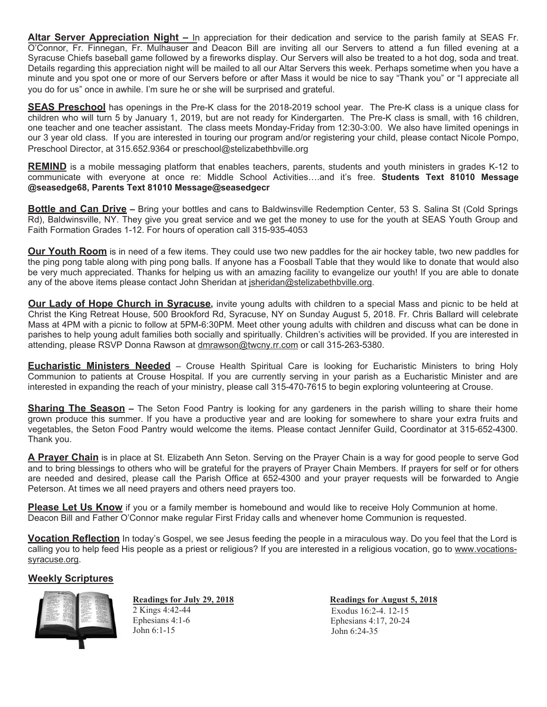**Altar Server Appreciation Night –** In appreciation for their dedication and service to the parish family at SEAS Fr. O'Connor, Fr. Finnegan, Fr. Mulhauser and Deacon Bill are inviting all our Servers to attend a fun filled evening at a Syracuse Chiefs baseball game followed by a fireworks display. Our Servers will also be treated to a hot dog, soda and treat. Details regarding this appreciation night will be mailed to all our Altar Servers this week. Perhaps sometime when you have a minute and you spot one or more of our Servers before or after Mass it would be nice to say "Thank you" or "I appreciate all you do for us" once in awhile. I'm sure he or she will be surprised and grateful.

**SEAS Preschool** has openings in the Pre-K class for the 2018-2019 school year. The Pre-K class is a unique class for children who will turn 5 by January 1, 2019, but are not ready for Kindergarten. The Pre-K class is small, with 16 children, one teacher and one teacher assistant. The class meets Monday-Friday from 12:30-3:00. We also have limited openings in our 3 year old class. If you are interested in touring our program and/or registering your child, please contact Nicole Pompo, Preschool Director, at 315.652.9364 or preschool@stelizabethbville.org

**REMIND** is a mobile messaging platform that enables teachers, parents, students and youth ministers in grades K-12 to communicate with everyone at once re: Middle School Activities....and it's free. Students Text 81010 Message **@seasedge68, Parents Text 81010 Message@seasedgecr** 

**Bottle and Can Drive –** Bring your bottles and cans to Baldwinsville Redemption Center, 53 S. Salina St (Cold Springs Rd), Baldwinsville, NY. They give you great service and we get the money to use for the youth at SEAS Youth Group and Faith Formation Grades 1-12. For hours of operation call 315-935-4053

**Our Youth Room** is in need of a few items. They could use two new paddles for the air hockey table, two new paddles for the ping pong table along with ping pong balls. If anyone has a Foosball Table that they would like to donate that would also be very much appreciated. Thanks for helping us with an amazing facility to evangelize our youth! If you are able to donate any of the above items please contact John Sheridan at jsheridan@stelizabethbville.org.

**Our Lady of Hope Church in Syracuse**, invite young adults with children to a special Mass and picnic to be held at Christ the King Retreat House, 500 Brookford Rd, Syracuse, NY on Sunday August 5, 2018. Fr. Chris Ballard will celebrate Mass at 4PM with a picnic to follow at 5PM-6:30PM. Meet other young adults with children and discuss what can be done in parishes to help young adult families both socially and spiritually. Children's activities will be provided. If you are interested in attending, please RSVP Donna Rawson at dmrawson@twcny.rr.com or call 315-263-5380.

**Eucharistic Ministers Needed** – Crouse Health Spiritual Care is looking for Eucharistic Ministers to bring Holy Communion to patients at Crouse Hospital. If you are currently serving in your parish as a Eucharistic Minister and are interested in expanding the reach of your ministry, please call 315-470-7615 to begin exploring volunteering at Crouse.

**Sharing The Season** – The Seton Food Pantry is looking for any gardeners in the parish willing to share their home grown produce this summer. If you have a productive year and are looking for somewhere to share your extra fruits and vegetables, the Seton Food Pantry would welcome the items. Please contact Jennifer Guild, Coordinator at 315-652-4300. Thank you.

**A Prayer Chain** is in place at St. Elizabeth Ann Seton. Serving on the Prayer Chain is a way for good people to serve God and to bring blessings to others who will be grateful for the prayers of Prayer Chain Members. If prayers for self or for others are needed and desired, please call the Parish Office at 652-4300 and your prayer requests will be forwarded to Angie Peterson. At times we all need prayers and others need prayers too.

**Please Let Us Know** if you or a family member is homebound and would like to receive Holy Communion at home. Deacon Bill and Father O'Connor make regular First Friday calls and whenever home Communion is requested.

**Vocation Reflection** In today's Gospel, we see Jesus feeding the people in a miraculous way. Do you feel that the Lord is calling you to help feed His people as a priest or religious? If you are interested in a religious vocation, go to www.vocationssyracuse.org.

# **Weekly Scriptures**



**Readings for July 29, 2018**<br>
2 Kings 4:42-44<br>
Readings for August 5, 2018<br>
Readings for August 5, 2018 2 Kings 4:42-44 Exodus 16:2-4. 12-15<br>
Ephesians 4:1-6 Ephesians 4:17 20-24

Ephesians  $4:1-6$ <br>  $\frac{1}{10}$  Ephesians  $4:17, 20-24$ <br>  $\frac{1}{10}$  Ephesians  $4:17, 20-24$ John  $6:24-35$